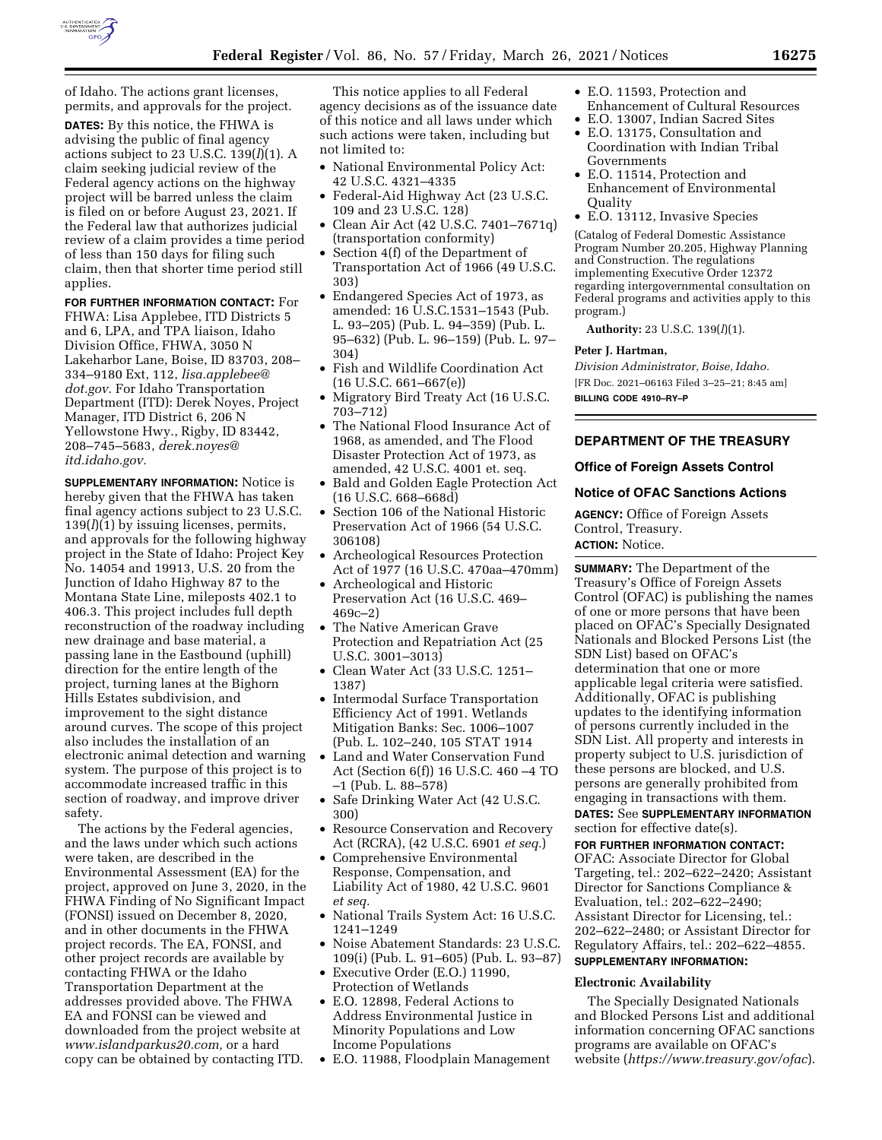

of Idaho. The actions grant licenses, permits, and approvals for the project.

**DATES:** By this notice, the FHWA is advising the public of final agency actions subject to 23 U.S.C. 139(*l*)(1). A claim seeking judicial review of the Federal agency actions on the highway project will be barred unless the claim is filed on or before August 23, 2021. If the Federal law that authorizes judicial review of a claim provides a time period of less than 150 days for filing such claim, then that shorter time period still applies.

**FOR FURTHER INFORMATION CONTACT:** For FHWA: Lisa Applebee, ITD Districts 5 and 6, LPA, and TPA liaison, Idaho Division Office, FHWA, 3050 N Lakeharbor Lane, Boise, ID 83703, 208– 334–9180 Ext, 112, *[lisa.applebee@](mailto:lisa.applebee@dot.gov) [dot.gov.](mailto:lisa.applebee@dot.gov)* For Idaho Transportation Department (ITD): Derek Noyes, Project Manager, ITD District 6, 206 N Yellowstone Hwy., Rigby, ID 83442, 208–745–5683, *[derek.noyes@](mailto:derek.noyes@itd.idaho.gov) [itd.idaho.gov.](mailto:derek.noyes@itd.idaho.gov)* 

**SUPPLEMENTARY INFORMATION:** Notice is hereby given that the FHWA has taken final agency actions subject to 23 U.S.C. 139(*l*)(1) by issuing licenses, permits, and approvals for the following highway project in the State of Idaho: Project Key No. 14054 and 19913, U.S. 20 from the Junction of Idaho Highway 87 to the Montana State Line, mileposts 402.1 to 406.3. This project includes full depth reconstruction of the roadway including new drainage and base material, a passing lane in the Eastbound (uphill) direction for the entire length of the project, turning lanes at the Bighorn Hills Estates subdivision, and improvement to the sight distance around curves. The scope of this project also includes the installation of an electronic animal detection and warning system. The purpose of this project is to accommodate increased traffic in this section of roadway, and improve driver safety.

The actions by the Federal agencies, and the laws under which such actions were taken, are described in the Environmental Assessment (EA) for the project, approved on June 3, 2020, in the FHWA Finding of No Significant Impact (FONSI) issued on December 8, 2020, and in other documents in the FHWA project records. The EA, FONSI, and other project records are available by contacting FHWA or the Idaho Transportation Department at the addresses provided above. The FHWA EA and FONSI can be viewed and downloaded from the project website at *[www.islandparkus20.com,](http://www.islandparkus20.com)* or a hard copy can be obtained by contacting ITD.

This notice applies to all Federal agency decisions as of the issuance date of this notice and all laws under which such actions were taken, including but not limited to:

- National Environmental Policy Act: 42 U.S.C. 4321–4335
- Federal-Aid Highway Act (23 U.S.C. 109 and 23 U.S.C. 128)
- Clean Air Act (42 U.S.C. 7401–7671q) (transportation conformity)
- Section 4(f) of the Department of Transportation Act of 1966 (49 U.S.C. 303)
- Endangered Species Act of 1973, as amended: 16 U.S.C.1531–1543 (Pub. L. 93–205) (Pub. L. 94–359) (Pub. L. 95–632) (Pub. L. 96–159) (Pub. L. 97– 304)
- Fish and Wildlife Coordination Act  $(16 \text{ U.S.C. } 661 - 667(e))$
- Migratory Bird Treaty Act (16 U.S.C. 703–712)
- The National Flood Insurance Act of 1968, as amended, and The Flood Disaster Protection Act of 1973, as amended, 42 U.S.C. 4001 et. seq.
- Bald and Golden Eagle Protection Act (16 U.S.C. 668–668d)
- Section 106 of the National Historic Preservation Act of 1966 (54 U.S.C. 306108)
- Archeological Resources Protection Act of 1977 (16 U.S.C. 470aa–470mm)
- Archeological and Historic Preservation Act (16 U.S.C. 469– 469c–2)
- The Native American Grave Protection and Repatriation Act (25 U.S.C. 3001–3013)
- Clean Water Act (33 U.S.C. 1251– 1387)
- Intermodal Surface Transportation Efficiency Act of 1991. Wetlands Mitigation Banks: Sec. 1006–1007 (Pub. L. 102–240, 105 STAT 1914
- Land and Water Conservation Fund Act (Section 6(f)) 16 U.S.C. 460 –4 TO –1 (Pub. L. 88–578)
- Safe Drinking Water Act (42 U.S.C. 300)
- Resource Conservation and Recovery Act (RCRA), (42 U.S.C. 6901 *et seq.*)
- Comprehensive Environmental Response, Compensation, and Liability Act of 1980, 42 U.S.C. 9601 *et seq.*
- National Trails System Act: 16 U.S.C. 1241–1249
- Noise Abatement Standards: 23 U.S.C. 109(i) (Pub. L. 91–605) (Pub. L. 93–87)
- Executive Order (E.O.) 11990, Protection of Wetlands
- E.O. 12898, Federal Actions to Address Environmental Justice in Minority Populations and Low Income Populations
- E.O. 11988, Floodplain Management
- E.O. 11593, Protection and Enhancement of Cultural Resources
- E.O. 13007, Indian Sacred Sites
- E.O. 13175, Consultation and Coordination with Indian Tribal Governments
- E.O. 11514, Protection and Enhancement of Environmental **Ouality**
- E.O. 13112, Invasive Species

(Catalog of Federal Domestic Assistance Program Number 20.205, Highway Planning and Construction. The regulations implementing Executive Order 12372 regarding intergovernmental consultation on Federal programs and activities apply to this program.)

**Authority:** 23 U.S.C. 139(*l*)(1).

## **Peter J. Hartman,**

*Division Administrator, Boise, Idaho.*  [FR Doc. 2021–06163 Filed 3–25–21; 8:45 am] **BILLING CODE 4910–RY–P** 

# **DEPARTMENT OF THE TREASURY**

## **Office of Foreign Assets Control**

## **Notice of OFAC Sanctions Actions**

**AGENCY:** Office of Foreign Assets Control, Treasury. **ACTION:** Notice.

**SUMMARY:** The Department of the Treasury's Office of Foreign Assets Control (OFAC) is publishing the names of one or more persons that have been placed on OFAC's Specially Designated Nationals and Blocked Persons List (the SDN List) based on OFAC's determination that one or more applicable legal criteria were satisfied. Additionally, OFAC is publishing updates to the identifying information of persons currently included in the SDN List. All property and interests in property subject to U.S. jurisdiction of these persons are blocked, and U.S. persons are generally prohibited from engaging in transactions with them.

**DATES:** See **SUPPLEMENTARY INFORMATION** section for effective date(s).

**FOR FURTHER INFORMATION CONTACT:**  OFAC: Associate Director for Global Targeting, tel.: 202–622–2420; Assistant Director for Sanctions Compliance & Evaluation, tel.: 202–622–2490; Assistant Director for Licensing, tel.: 202–622–2480; or Assistant Director for Regulatory Affairs, tel.: 202–622–4855. **SUPPLEMENTARY INFORMATION:** 

## **Electronic Availability**

The Specially Designated Nationals and Blocked Persons List and additional information concerning OFAC sanctions programs are available on OFAC's website (*<https://www.treasury.gov/ofac>*).